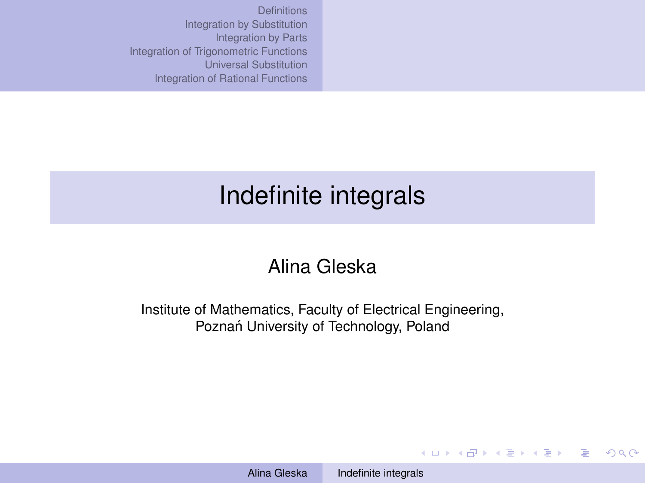# <span id="page-0-0"></span>Indefinite integrals

## Alina Gleska

Institute of Mathematics, Faculty of Electrical Engineering, Poznań University of Technology, Poland

Alina Gleska [Indefinite integrals](#page-12-0)

KO KARK KEK KEK E YOKA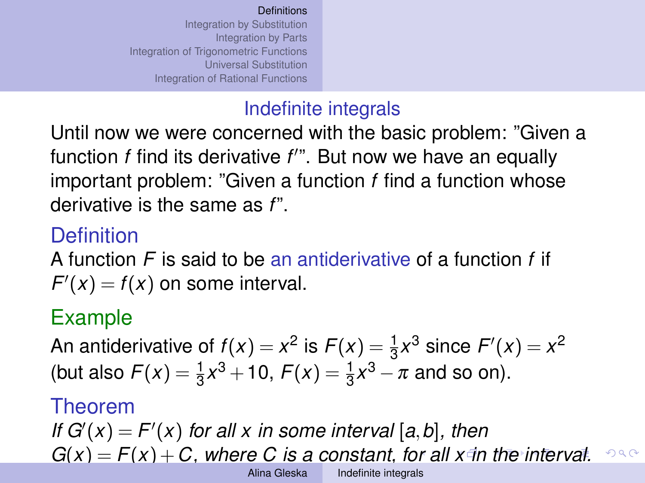## Indefinite integrals

<span id="page-1-0"></span>Until now we were concerned with the basic problem: "Given a function *f* find its derivative f'". But now we have an equally important problem: "Given a function *f* find a function whose derivative is the same as *f*".

## **Definition**

A function *F* is said to be an antiderivative of a function *f* if  $F'(x) = f(x)$  on some interval.

## Example

An antiderivative of  $f(x) = x^2$  is  $F(x) = \frac{1}{3}x^3$  since  $F'(x) = x^2$ (but also  $F(x) = \frac{1}{3}x^3 + 10$ ,  $F(x) = \frac{1}{3}x^3 - \pi$  and so on).

#### Theorem

*If*  $G'(x) = F'(x)$  for all x in some interval [a, b], then  $G(x) = F(x) + C$ , where C is a constant, f[or a](#page-0-0)[ll](#page-2-0)  $x \neq n$  $x \neq n$  $x \neq n$  $x \neq n$  the [in](#page-1-0)[t](#page-1-0)e[r](#page-5-0)[va](#page-0-0)[l.](#page-12-0)  $290$ Alina Gleska [Indefinite integrals](#page-0-0)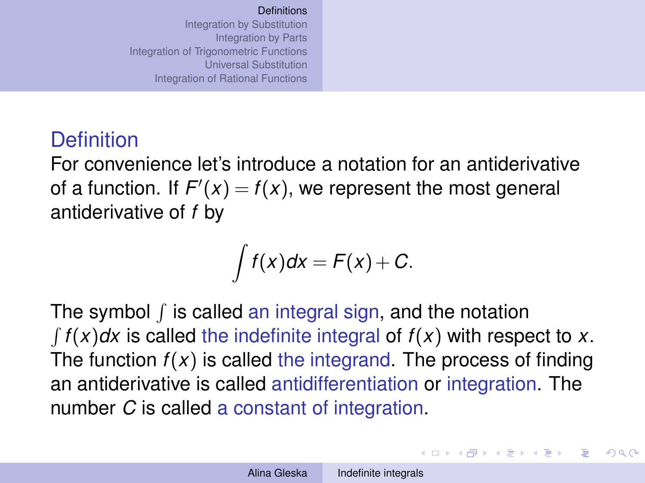## <span id="page-2-0"></span>**Definition**

For convenience let's introduce a notation for an antiderivative of a function. If  $F'(x) = f(x)$ , we represent the most general antiderivative of *f* by

$$
\int f(x)dx = F(x) + C.
$$

The symbol  $\int$  is called an integral sign, and the notation  $\int f(x)dx$  is called the indefinite integral of  $f(x)$  with respect to *x*. The function  $f(x)$  is called the integrand. The process of finding an antiderivative is called antidifferentiation or integration. The number *C* is called a constant of integration.

イロン イ押ン イヨン イヨン 一重

 $\Omega$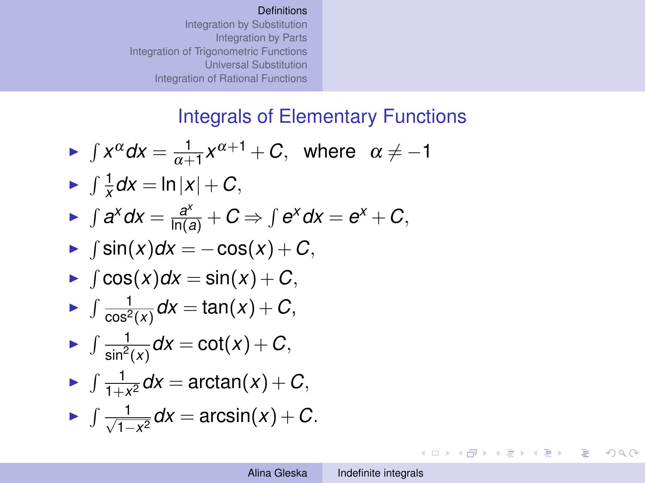#### Integrals of Elementary Functions

<span id="page-3-0"></span>• 
$$
\int x^{\alpha} dx = \frac{1}{\alpha + 1} x^{\alpha + 1} + C, \text{ where } \alpha \neq -1
$$

\n• 
$$
\int \frac{1}{x} dx = \ln|x| + C,
$$

\n• 
$$
\int a^{x} dx = \frac{a^{x}}{\ln(a)} + C \Rightarrow \int e^{x} dx = e^{x} + C,
$$

\n• 
$$
\int \sin(x) dx = -\cos(x) + C,
$$

\n• 
$$
\int \cos(x) dx = \sin(x) + C,
$$

\n• 
$$
\int \frac{1}{\cos^{2}(x)} dx = \tan(x) + C,
$$

\n• 
$$
\int \frac{1}{\sin^{2}(x)} dx = \cot(x) + C,
$$

\n• 
$$
\int \frac{1}{1 + x^{2}} dx = \arctan(x) + C,
$$

\n• 
$$
\int \frac{1}{\sqrt{1 - x^{2}}} dx = \arcsin(x) + C.
$$

イロトメ 伊 メスミドメミド ジミックダウ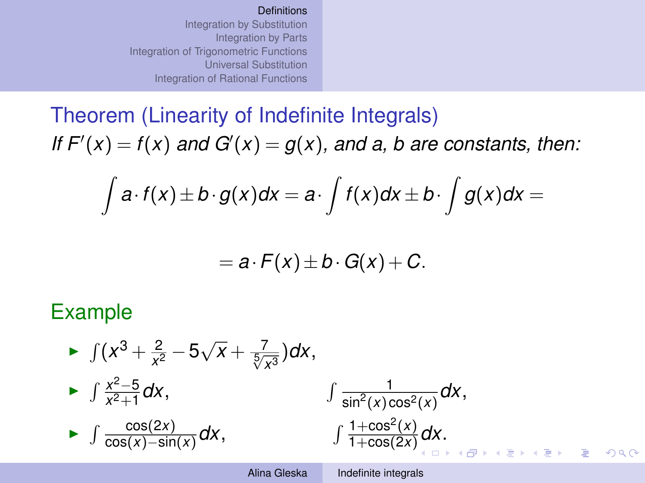<span id="page-4-0"></span>Theorem (Linearity of Indefinite Integrals) If  $F'(x) = f(x)$  and  $G'(x) = g(x)$ , and a, b are constants, then:

$$
\int a \cdot f(x) \pm b \cdot g(x) dx = a \cdot \int f(x) dx \pm b \cdot \int g(x) dx =
$$

$$
= a \cdot F(x) \pm b \cdot G(x) + C.
$$

#### Example



 $\Omega$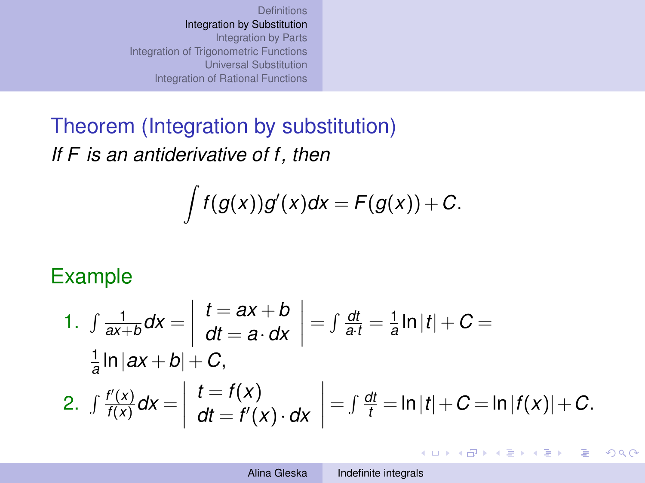<span id="page-5-0"></span>Theorem (Integration by substitution) *If F is an antiderivative of f, then*

$$
\int f(g(x))g'(x)dx = F(g(x)) + C.
$$

## Example

1. 
$$
\int \frac{1}{ax+b} dx = \int dt = ax + b \ dt = a \cdot dx = \int \frac{dt}{a \cdot t} = \frac{1}{a} \ln|t| + C =
$$
  
\n $\frac{1}{a} \ln|ax+b| + C,$   
\n2.  $\int \frac{f'(x)}{f(x)} dx = \int \frac{t = f(x)}{dt = f'(x) \cdot dx} = \int \frac{dt}{t} = \ln|t| + C = \ln|f(x)| + C.$ 

イロト イ押 トイヨ トイヨ トーヨー

 $2990$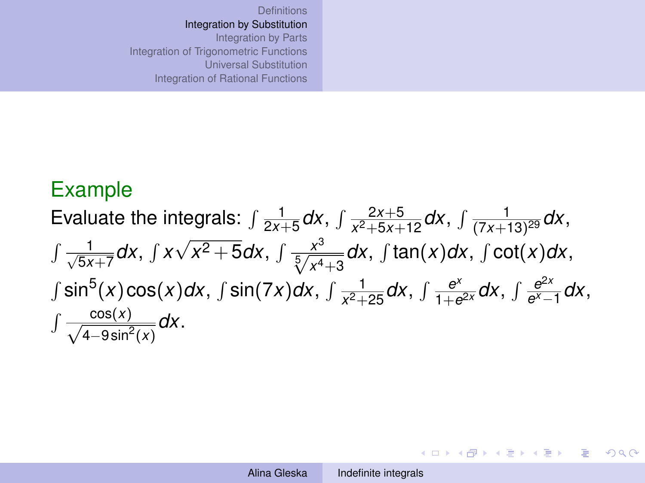## Example

Evaluate the integrals: 
$$
\int \frac{1}{2x+5} dx
$$
,  $\int \frac{2x+5}{x^2+5x+12} dx$ ,  $\int \frac{1}{(7x+13)^{29}} dx$ ,  
\n $\int \frac{1}{\sqrt{5x+7}} dx$ ,  $\int x\sqrt{x^2+5} dx$ ,  $\int \frac{x^3}{\sqrt[5]{x^4+3}} dx$ ,  $\int \tan(x) dx$ ,  $\int \cot(x) dx$ ,  
\n $\int \sin^5(x) \cos(x) dx$ ,  $\int \sin(7x) dx$ ,  $\int \frac{1}{x^2+25} dx$ ,  $\int \frac{e^x}{1+e^{2x}} dx$ ,  $\int \frac{e^{2x}}{e^x-1} dx$ ,  
\n $\int \frac{\cos(x)}{\sqrt{4-9\sin^2(x)}} dx$ .

KID KAR KE KE KE YA GA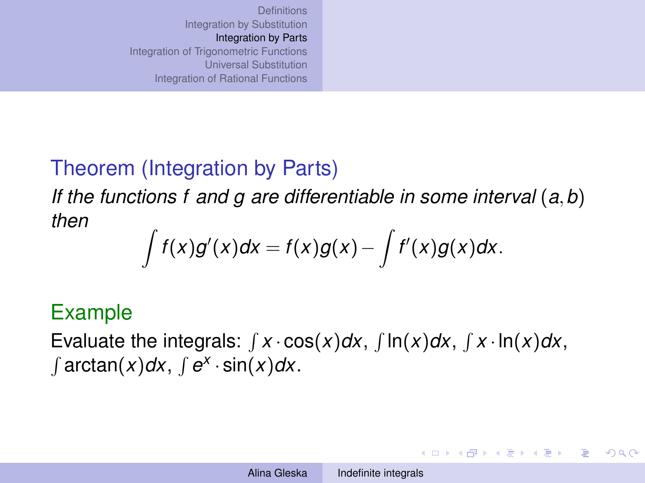## <span id="page-7-0"></span>Theorem (Integration by Parts)

*If the functions f and g are differentiable in some interval* (*a*,*b*) *then*

$$
\int f(x)g'(x)dx = f(x)g(x) - \int f'(x)g(x)dx.
$$

## Example

Evaluate the integrals:  $\int x \cdot \cos(x) dx$ ,  $\int \ln(x) dx$ ,  $\int x \cdot \ln(x) dx$ ,  $\int$  arctan(*x*)*dx*,  $\int$   $e^{x} \cdot \sin(x) dx$ .

イロン イ押ン イヨン イヨン 一重

 $QQ$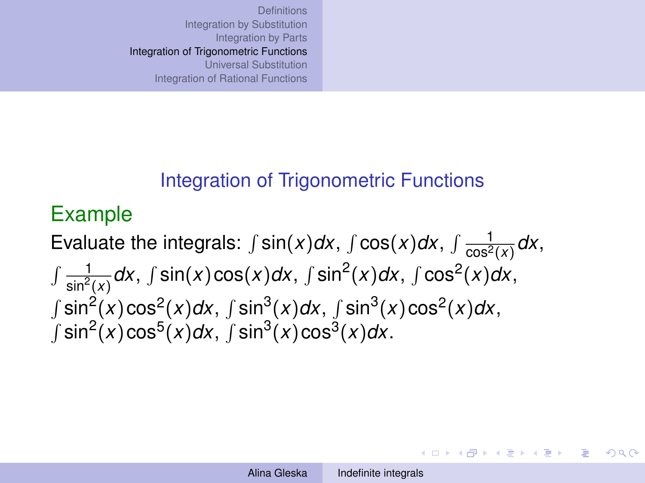### <span id="page-8-0"></span>Integration of Trigonometric Functions

## Example

Evaluate the integrals:  $\int$  sin(*x*)*dx*,  $\int$  cos(*x*)*dx*,  $\int \frac{1}{\cos^2}$  $\frac{1}{\cos^2(x)}dx$ ,  $\int \frac{1}{1}$  $\frac{1}{\sin^2(x)}$ *dx*,  $\int \sin(x) \cos(x) dx$ ,  $\int \sin^2(x) dx$ ,  $\int \cos^2(x) dx$ ,  $\int \sin^2(x) \cos^2(x) dx$ ,  $\int \sin^3(x) dx$ ,  $\int \sin^3(x) \cos^2(x) dx$ ,  $\int \sin^2(x) \cos^5(x) dx$ ,  $\int \sin^3(x) \cos^3(x) dx$ .

イロン イ押ン イヨン イヨン 一重

 $QQ$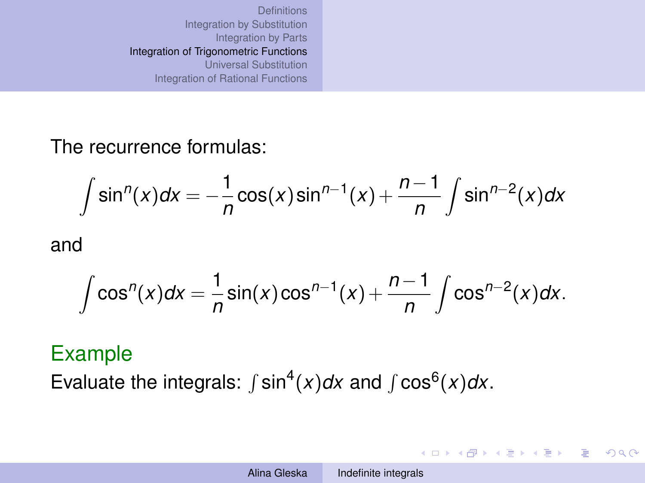The recurrence formulas:

$$
\int \sin^n(x)dx = -\frac{1}{n}\cos(x)\sin^{n-1}(x) + \frac{n-1}{n}\int \sin^{n-2}(x)dx
$$

and

$$
\int \cos^n(x)dx = \frac{1}{n}\sin(x)\cos^{n-1}(x) + \frac{n-1}{n}\int \cos^{n-2}(x)dx.
$$

#### Example

Evaluate the integrals:  $\int \sin^4(x) dx$  and  $\int \cos^6(x) dx$ .

KO KA KE KE KE KE YA G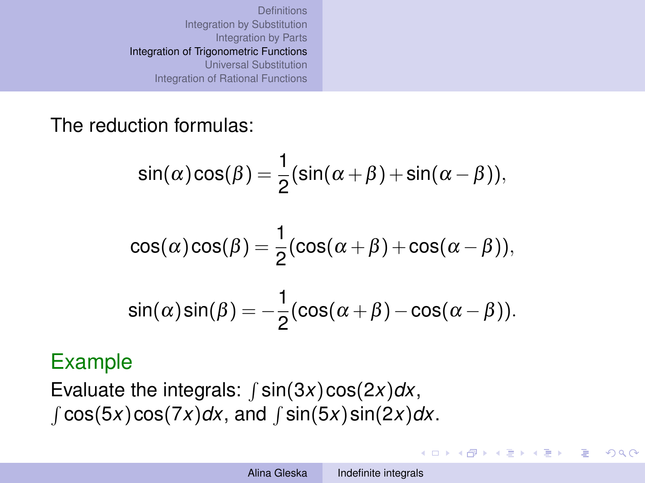The reduction formulas:

$$
\sin(\alpha)\cos(\beta) = \frac{1}{2}(\sin(\alpha+\beta) + \sin(\alpha-\beta)),
$$

$$
\cos(\alpha)\cos(\beta) = \frac{1}{2}(\cos(\alpha + \beta) + \cos(\alpha - \beta)),
$$
  
\n
$$
\sin(\alpha)\sin(\beta) = -\frac{1}{2}(\cos(\alpha + \beta) - \cos(\alpha - \beta)).
$$

#### Example

Evaluate the integrals:  $\int$  sin(3*x*) cos(2*x*)*dx*,  $\int \cos(5x)\cos(7x)dx$ , and  $\int \sin(5x)\sin(2x)dx$ .

4 ロ > 4 何 > 4 ミ > 4 ミ > - ミ

 $2Q$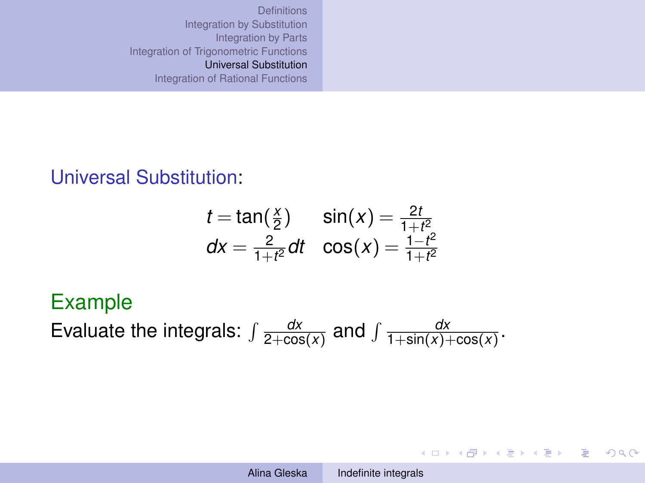#### <span id="page-11-0"></span>Universal Substitution:

$$
t = \tan(\frac{x}{2}) \qquad \sin(x) = \frac{2t}{1+t^2}
$$
  

$$
dx = \frac{2}{1+t^2}dt \quad \cos(x) = \frac{1-t^2}{1+t^2}
$$

#### Example

Evaluate the integrals:  $\int \frac{dx}{2 + \cos x}$  $\frac{dx}{2 + \cos(x)}$  and  $\int \frac{dx}{1 + \sin(x)}$  $\frac{dx}{1+\sin(x)+\cos(x)}$ .

イロン イ押ン イミン イヨン ニヨー

 $2990$